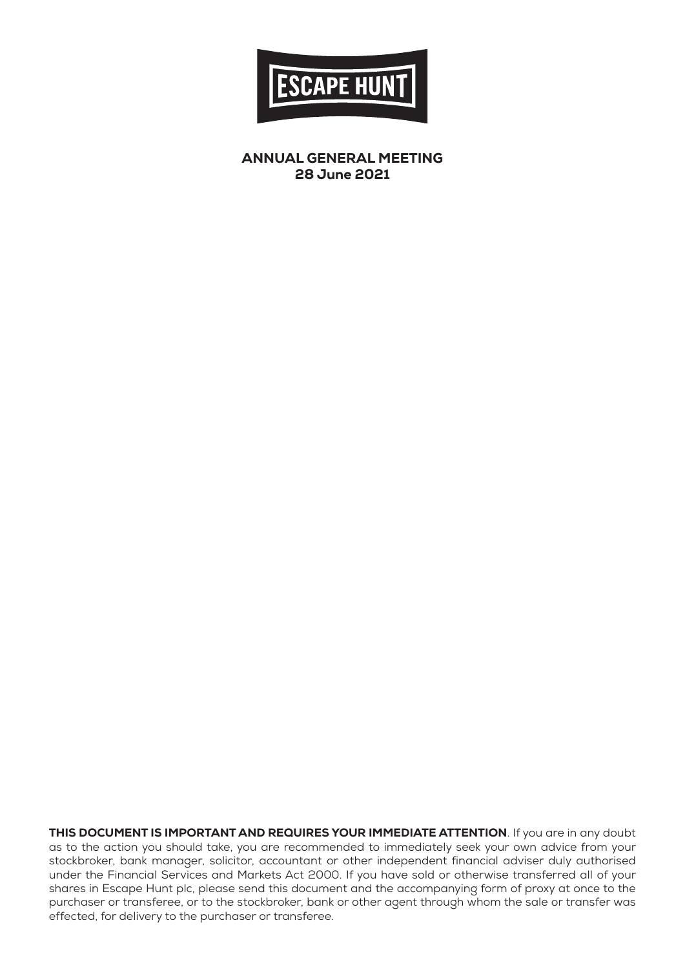

ANNUAL GENERAL MEETING 28 June 2021

THIS DOCUMENT IS IMPORTANT AND REQUIRES YOUR IMMEDIATE ATTENTION. If you are in any doubt as to the action you should take, you are recommended to immediately seek your own advice from your stockbroker, bank manager, solicitor, accountant or other independent financial adviser duly authorised under the Financial Services and Markets Act 2000. If you have sold or otherwise transferred all of your shares in Escape Hunt plc, please send this document and the accompanying form of proxy at once to the purchaser or transferee, or to the stockbroker, bank or other agent through whom the sale or transfer was effected, for delivery to the purchaser or transferee.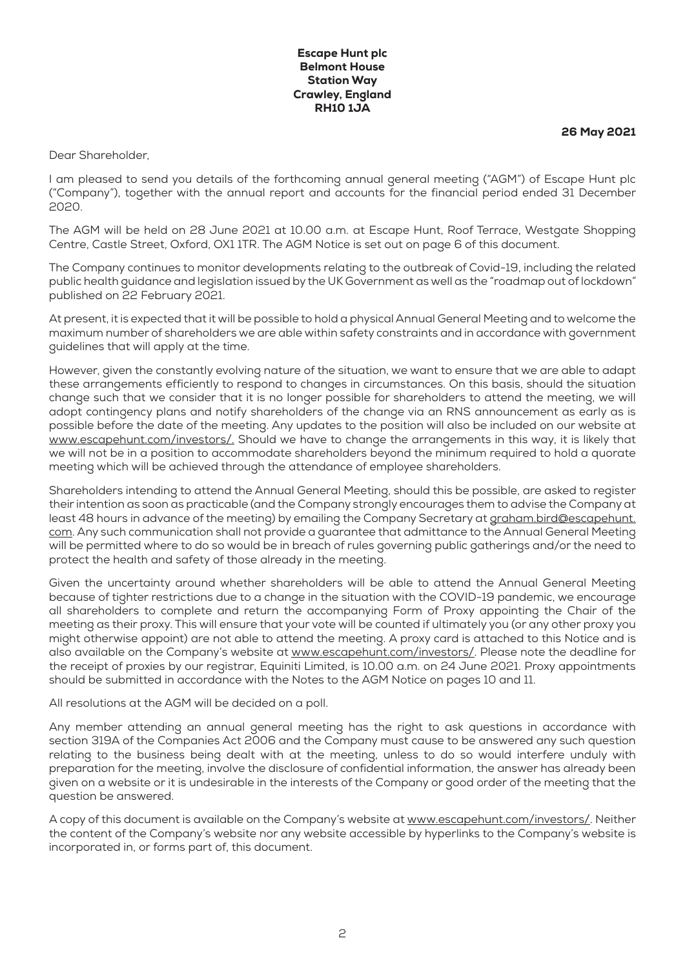### Escape Hunt plc Belmont House Station Way Crawley, England RH10 1JA

## 26 May 2021

Dear Shareholder,

I am pleased to send you details of the forthcoming annual general meeting ("AGM") of Escape Hunt plc ("Company"), together with the annual report and accounts for the financial period ended 31 December 2020.

The AGM will be held on 28 June 2021 at 10.00 a.m. at Escape Hunt, Roof Terrace, Westgate Shopping Centre, Castle Street, Oxford, OX1 1TR. The AGM Notice is set out on page 6 of this document.

The Company continues to monitor developments relating to the outbreak of Covid-19, including the related public health guidance and legislation issued by the UK Government as well as the "roadmap out of lockdown" published on 22 February 2021.

At present, it is expected that it will be possible to hold a physical Annual General Meeting and to welcome the maximum number of shareholders we are able within safety constraints and in accordance with government guidelines that will apply at the time.

However, given the constantly evolving nature of the situation, we want to ensure that we are able to adapt these arrangements efficiently to respond to changes in circumstances. On this basis, should the situation change such that we consider that it is no longer possible for shareholders to attend the meeting, we will adopt contingency plans and notify shareholders of the change via an RNS announcement as early as is possible before the date of the meeting. Any updates to the position will also be included on our website at [www.escapehunt.com/investors/](http://www.escapehunt.com/investors/). Should we have to change the arrangements in this way, it is likely that we will not be in a position to accommodate shareholders beyond the minimum required to hold a quorate meeting which will be achieved through the attendance of employee shareholders.

Shareholders intending to attend the Annual General Meeting, should this be possible, are asked to register their intention as soon as practicable (and the Company strongly encourages them to advise the Company at least 48 hours in advance of the meeting) by emailing the Company Secretary at [graham.bird@escapehunt.](mailto:graham.bird@escapehunt.com) [com.](mailto:graham.bird@escapehunt.com) Any such communication shall not provide a guarantee that admittance to the Annual General Meeting will be permitted where to do so would be in breach of rules governing public gatherings and/or the need to protect the health and safety of those already in the meeting.

Given the uncertainty around whether shareholders will be able to attend the Annual General Meeting because of tighter restrictions due to a change in the situation with the COVID-19 pandemic, we encourage all shareholders to complete and return the accompanying Form of Proxy appointing the Chair of the meeting as their proxy. This will ensure that your vote will be counted if ultimately you (or any other proxy you might otherwise appoint) are not able to attend the meeting. A proxy card is attached to this Notice and is also available on the Company's website at [www.escapehunt.com/investors/](http://www.escapehunt.com/investors/). Please note the deadline for the receipt of proxies by our registrar, Equiniti Limited, is 10.00 a.m. on 24 June 2021. Proxy appointments should be submitted in accordance with the Notes to the AGM Notice on pages 10 and 11.

All resolutions at the AGM will be decided on a poll.

Any member attending an annual general meeting has the right to ask questions in accordance with section 319A of the Companies Act 2006 and the Company must cause to be answered any such question relating to the business being dealt with at the meeting, unless to do so would interfere unduly with preparation for the meeting, involve the disclosure of confidential information, the answer has already been given on a website or it is undesirable in the interests of the Company or good order of the meeting that the question be answered.

A copy of this document is available on the Company's website at [www.escapehunt.com/investors/.](http://www.escapehunt.com/investors/) Neither the content of the Company's website nor any website accessible by hyperlinks to the Company's website is incorporated in, or forms part of, this document.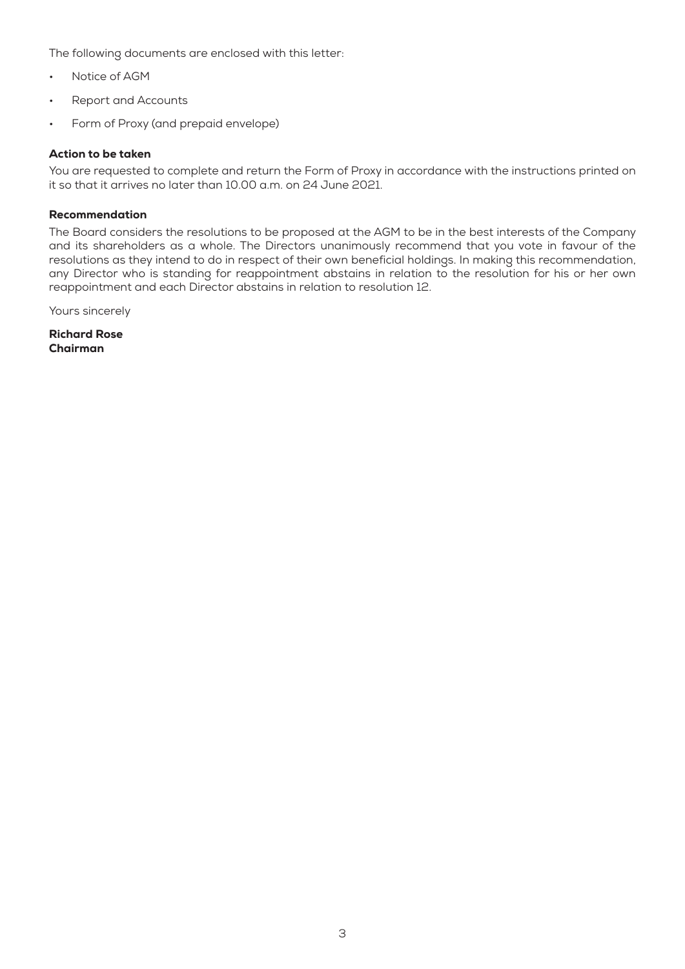The following documents are enclosed with this letter:

- Notice of AGM
- Report and Accounts
- Form of Proxy (and prepaid envelope)

#### Action to be taken

You are requested to complete and return the Form of Proxy in accordance with the instructions printed on it so that it arrives no later than 10.00 a.m. on 24 June 2021.

### Recommendation

The Board considers the resolutions to be proposed at the AGM to be in the best interests of the Company and its shareholders as a whole. The Directors unanimously recommend that you vote in favour of the resolutions as they intend to do in respect of their own beneficial holdings. In making this recommendation, any Director who is standing for reappointment abstains in relation to the resolution for his or her own reappointment and each Director abstains in relation to resolution 12.

Yours sincerely

Richard Rose Chairman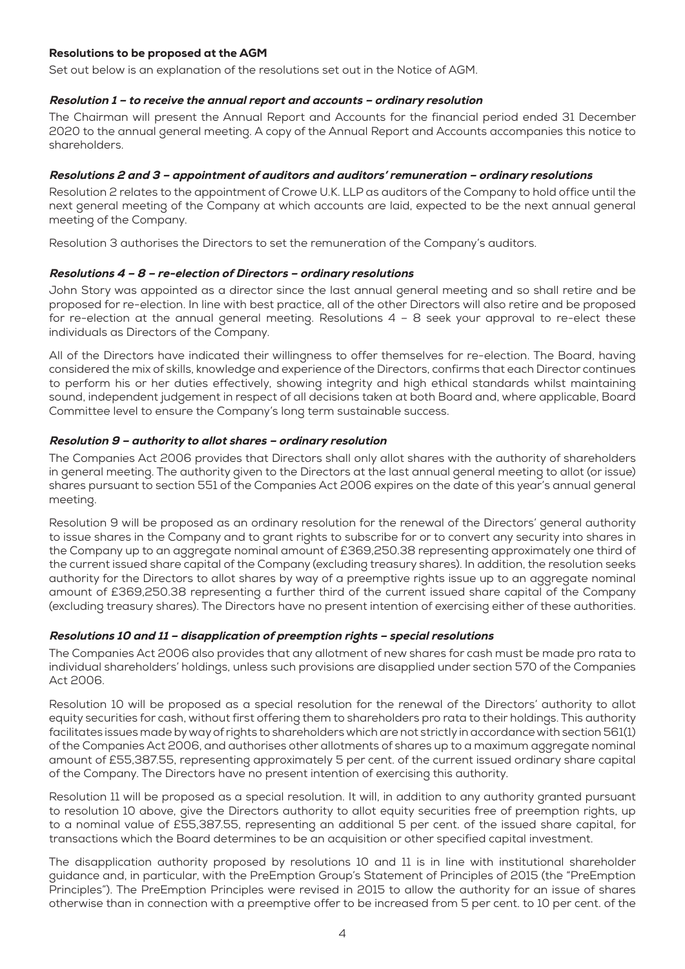## Resolutions to be proposed at the AGM

Set out below is an explanation of the resolutions set out in the Notice of AGM.

#### Resolution 1 – to receive the annual report and accounts – ordinary resolution

The Chairman will present the Annual Report and Accounts for the financial period ended 31 December 2020 to the annual general meeting. A copy of the Annual Report and Accounts accompanies this notice to shareholders.

### Resolutions 2 and 3 – appointment of auditors and auditors' remuneration – ordinary resolutions

Resolution 2 relates to the appointment of Crowe U.K. LLP as auditors of the Company to hold office until the next general meeting of the Company at which accounts are laid, expected to be the next annual general meeting of the Company.

Resolution 3 authorises the Directors to set the remuneration of the Company's auditors.

#### Resolutions 4 – 8 – re-election of Directors – ordinary resolutions

John Story was appointed as a director since the last annual general meeting and so shall retire and be proposed for re-election. In line with best practice, all of the other Directors will also retire and be proposed for re-election at the annual general meeting. Resolutions 4 – 8 seek your approval to re-elect these individuals as Directors of the Company.

All of the Directors have indicated their willingness to offer themselves for re-election. The Board, having considered the mix of skills, knowledge and experience of the Directors, confirms that each Director continues to perform his or her duties effectively, showing integrity and high ethical standards whilst maintaining sound, independent judgement in respect of all decisions taken at both Board and, where applicable, Board Committee level to ensure the Company's long term sustainable success.

#### Resolution 9 – authority to allot shares – ordinary resolution

The Companies Act 2006 provides that Directors shall only allot shares with the authority of shareholders in general meeting. The authority given to the Directors at the last annual general meeting to allot (or issue) shares pursuant to section 551 of the Companies Act 2006 expires on the date of this year's annual general meeting.

Resolution 9 will be proposed as an ordinary resolution for the renewal of the Directors' general authority to issue shares in the Company and to grant rights to subscribe for or to convert any security into shares in the Company up to an aggregate nominal amount of £369,250.38 representing approximately one third of the current issued share capital of the Company (excluding treasury shares). In addition, the resolution seeks authority for the Directors to allot shares by way of a preemptive rights issue up to an aggregate nominal amount of £369,250.38 representing a further third of the current issued share capital of the Company (excluding treasury shares). The Directors have no present intention of exercising either of these authorities.

## Resolutions 10 and 11 – disapplication of preemption rights – special resolutions

The Companies Act 2006 also provides that any allotment of new shares for cash must be made pro rata to individual shareholders' holdings, unless such provisions are disapplied under section 570 of the Companies Act 2006.

Resolution 10 will be proposed as a special resolution for the renewal of the Directors' authority to allot equity securities for cash, without first offering them to shareholders pro rata to their holdings. This authority facilitates issues made by way of rights to shareholders which are not strictly in accordance with section 561(1) of the Companies Act 2006, and authorises other allotments of shares up to a maximum aggregate nominal amount of £55,387.55, representing approximately 5 per cent. of the current issued ordinary share capital of the Company. The Directors have no present intention of exercising this authority.

Resolution 11 will be proposed as a special resolution. It will, in addition to any authority granted pursuant to resolution 10 above, give the Directors authority to allot equity securities free of preemption rights, up to a nominal value of £55,387.55, representing an additional 5 per cent. of the issued share capital, for transactions which the Board determines to be an acquisition or other specified capital investment.

The disapplication authority proposed by resolutions 10 and 11 is in line with institutional shareholder guidance and, in particular, with the PreEmption Group's Statement of Principles of 2015 (the "PreEmption Principles"). The PreEmption Principles were revised in 2015 to allow the authority for an issue of shares otherwise than in connection with a preemptive offer to be increased from 5 per cent. to 10 per cent. of the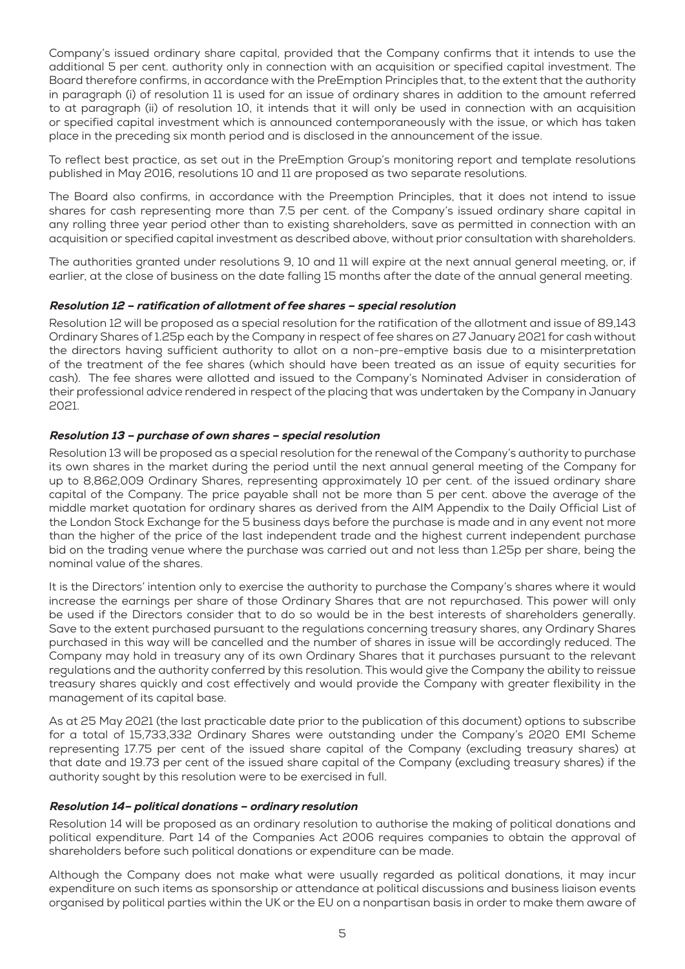Company's issued ordinary share capital, provided that the Company confirms that it intends to use the additional 5 per cent. authority only in connection with an acquisition or specified capital investment. The Board therefore confirms, in accordance with the PreEmption Principles that, to the extent that the authority in paragraph (i) of resolution 11 is used for an issue of ordinary shares in addition to the amount referred to at paragraph (ii) of resolution 10, it intends that it will only be used in connection with an acquisition or specified capital investment which is announced contemporaneously with the issue, or which has taken place in the preceding six month period and is disclosed in the announcement of the issue.

To reflect best practice, as set out in the PreEmption Group's monitoring report and template resolutions published in May 2016, resolutions 10 and 11 are proposed as two separate resolutions.

The Board also confirms, in accordance with the Preemption Principles, that it does not intend to issue shares for cash representing more than 7.5 per cent. of the Company's issued ordinary share capital in any rolling three year period other than to existing shareholders, save as permitted in connection with an acquisition or specified capital investment as described above, without prior consultation with shareholders.

The authorities granted under resolutions 9, 10 and 11 will expire at the next annual general meeting, or, if earlier, at the close of business on the date falling 15 months after the date of the annual general meeting.

## Resolution 12 – ratification of allotment of fee shares – special resolution

Resolution 12 will be proposed as a special resolution for the ratification of the allotment and issue of 89,143 Ordinary Shares of 1.25p each by the Company in respect of fee shares on 27 January 2021 for cash without the directors having sufficient authority to allot on a non-pre-emptive basis due to a misinterpretation of the treatment of the fee shares (which should have been treated as an issue of equity securities for cash). The fee shares were allotted and issued to the Company's Nominated Adviser in consideration of their professional advice rendered in respect of the placing that was undertaken by the Company in January 2021.

## Resolution 13 – purchase of own shares – special resolution

Resolution 13 will be proposed as a special resolution for the renewal of the Company's authority to purchase its own shares in the market during the period until the next annual general meeting of the Company for up to 8,862,009 Ordinary Shares, representing approximately 10 per cent. of the issued ordinary share capital of the Company. The price payable shall not be more than 5 per cent. above the average of the middle market quotation for ordinary shares as derived from the AIM Appendix to the Daily Official List of the London Stock Exchange for the 5 business days before the purchase is made and in any event not more than the higher of the price of the last independent trade and the highest current independent purchase bid on the trading venue where the purchase was carried out and not less than 1.25p per share, being the nominal value of the shares.

It is the Directors' intention only to exercise the authority to purchase the Company's shares where it would increase the earnings per share of those Ordinary Shares that are not repurchased. This power will only be used if the Directors consider that to do so would be in the best interests of shareholders generally. Save to the extent purchased pursuant to the regulations concerning treasury shares, any Ordinary Shares purchased in this way will be cancelled and the number of shares in issue will be accordingly reduced. The Company may hold in treasury any of its own Ordinary Shares that it purchases pursuant to the relevant regulations and the authority conferred by this resolution. This would give the Company the ability to reissue treasury shares quickly and cost effectively and would provide the Company with greater flexibility in the management of its capital base.

As at 25 May 2021 (the last practicable date prior to the publication of this document) options to subscribe for a total of 15,733,332 Ordinary Shares were outstanding under the Company's 2020 EMI Scheme representing 17.75 per cent of the issued share capital of the Company (excluding treasury shares) at that date and 19.73 per cent of the issued share capital of the Company (excluding treasury shares) if the authority sought by this resolution were to be exercised in full.

## Resolution 14– political donations – ordinary resolution

Resolution 14 will be proposed as an ordinary resolution to authorise the making of political donations and political expenditure. Part 14 of the Companies Act 2006 requires companies to obtain the approval of shareholders before such political donations or expenditure can be made.

Although the Company does not make what were usually regarded as political donations, it may incur expenditure on such items as sponsorship or attendance at political discussions and business liaison events organised by political parties within the UK or the EU on a nonpartisan basis in order to make them aware of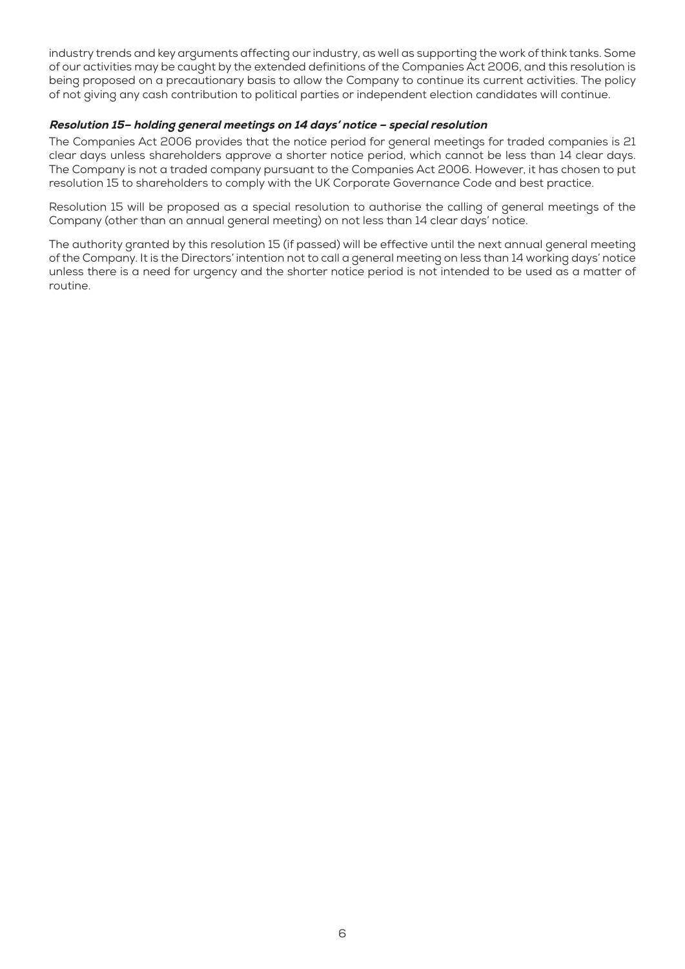industry trends and key arguments affecting our industry, as well as supporting the work of think tanks. Some of our activities may be caught by the extended definitions of the Companies Act 2006, and this resolution is being proposed on a precautionary basis to allow the Company to continue its current activities. The policy of not giving any cash contribution to political parties or independent election candidates will continue.

## Resolution 15– holding general meetings on 14 days' notice – special resolution

The Companies Act 2006 provides that the notice period for general meetings for traded companies is 21 clear days unless shareholders approve a shorter notice period, which cannot be less than 14 clear days. The Company is not a traded company pursuant to the Companies Act 2006. However, it has chosen to put resolution 15 to shareholders to comply with the UK Corporate Governance Code and best practice.

Resolution 15 will be proposed as a special resolution to authorise the calling of general meetings of the Company (other than an annual general meeting) on not less than 14 clear days' notice.

The authority granted by this resolution 15 (if passed) will be effective until the next annual general meeting of the Company. It is the Directors' intention not to call a general meeting on less than 14 working days' notice unless there is a need for urgency and the shorter notice period is not intended to be used as a matter of routine.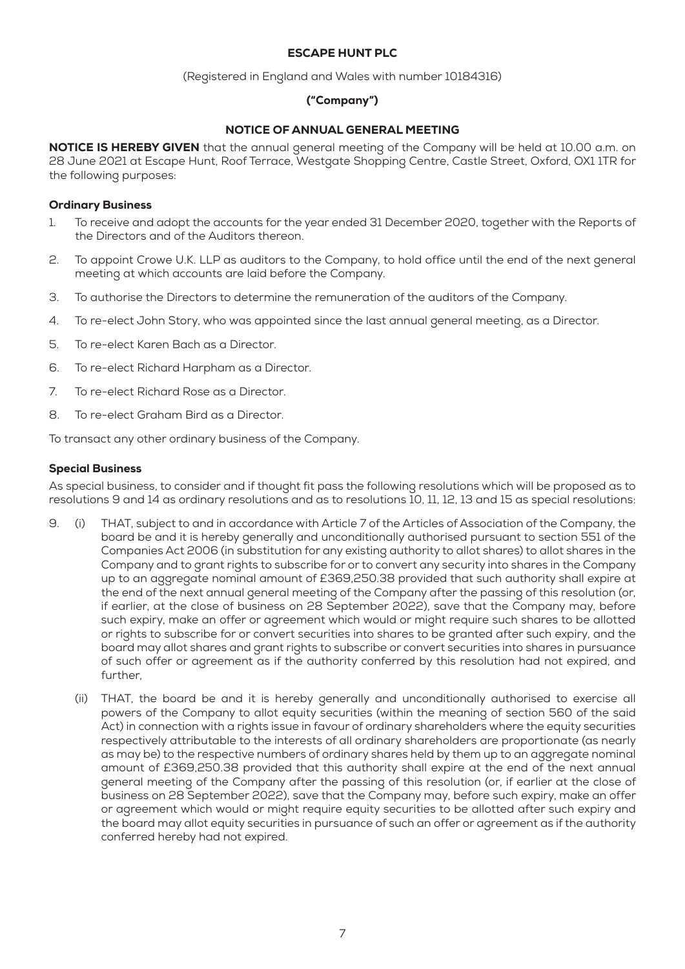## ESCAPE HUNT PLC

(Registered in England and Wales with number 10184316)

# ("Company")

# NOTICE OF ANNUAL GENERAL MEETING

NOTICE IS HEREBY GIVEN that the annual general meeting of the Company will be held at 10.00 a.m. on 28 June 2021 at Escape Hunt, Roof Terrace, Westgate Shopping Centre, Castle Street, Oxford, OX1 1TR for the following purposes:

## Ordinary Business

- 1. To receive and adopt the accounts for the year ended 31 December 2020, together with the Reports of the Directors and of the Auditors thereon.
- 2. To appoint Crowe U.K. LLP as auditors to the Company, to hold office until the end of the next general meeting at which accounts are laid before the Company.
- 3. To authorise the Directors to determine the remuneration of the auditors of the Company.
- 4. To re-elect John Story, who was appointed since the last annual general meeting, as a Director.
- 5. To re-elect Karen Bach as a Director.
- 6. To re-elect Richard Harpham as a Director.
- 7. To re-elect Richard Rose as a Director.
- 8. To re-elect Graham Bird as a Director.

To transact any other ordinary business of the Company.

#### Special Business

As special business, to consider and if thought fit pass the following resolutions which will be proposed as to resolutions 9 and 14 as ordinary resolutions and as to resolutions 10, 11, 12, 13 and 15 as special resolutions:

- 9. (i) THAT, subject to and in accordance with Article 7 of the Articles of Association of the Company, the board be and it is hereby generally and unconditionally authorised pursuant to section 551 of the Companies Act 2006 (in substitution for any existing authority to allot shares) to allot shares in the Company and to grant rights to subscribe for or to convert any security into shares in the Company up to an aggregate nominal amount of £369,250.38 provided that such authority shall expire at the end of the next annual general meeting of the Company after the passing of this resolution (or, if earlier, at the close of business on 28 September 2022), save that the Company may, before such expiry, make an offer or agreement which would or might require such shares to be allotted or rights to subscribe for or convert securities into shares to be granted after such expiry, and the board may allot shares and grant rights to subscribe or convert securities into shares in pursuance of such offer or agreement as if the authority conferred by this resolution had not expired, and further,
	- (ii) THAT, the board be and it is hereby generally and unconditionally authorised to exercise all powers of the Company to allot equity securities (within the meaning of section 560 of the said Act) in connection with a rights issue in favour of ordinary shareholders where the equity securities respectively attributable to the interests of all ordinary shareholders are proportionate (as nearly as may be) to the respective numbers of ordinary shares held by them up to an aggregate nominal amount of £369,250.38 provided that this authority shall expire at the end of the next annual general meeting of the Company after the passing of this resolution (or, if earlier at the close of business on 28 September 2022), save that the Company may, before such expiry, make an offer or agreement which would or might require equity securities to be allotted after such expiry and the board may allot equity securities in pursuance of such an offer or agreement as if the authority conferred hereby had not expired.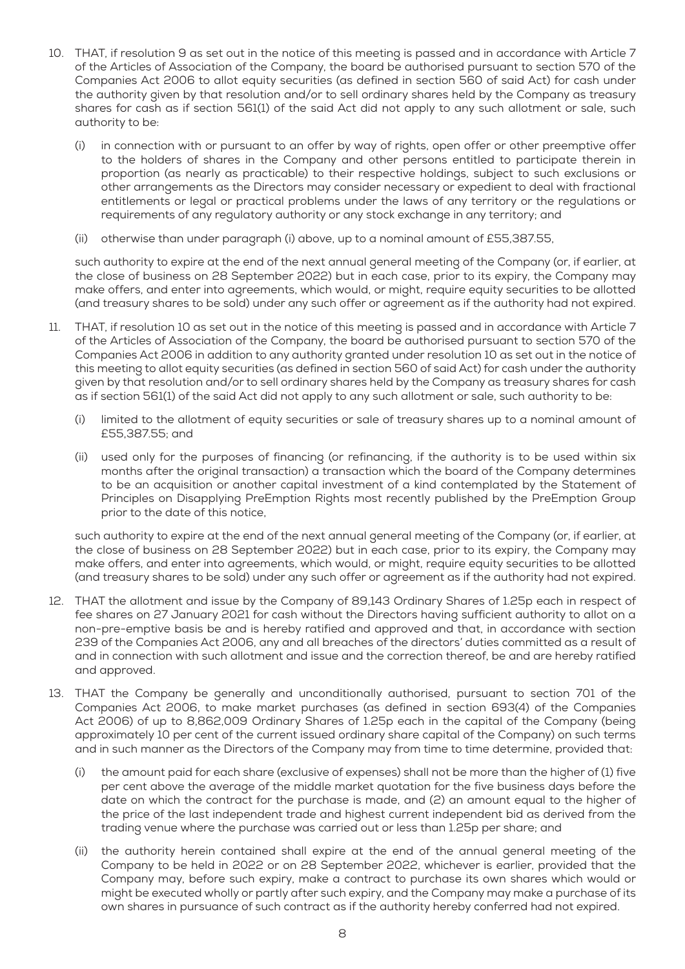- 10. THAT, if resolution 9 as set out in the notice of this meeting is passed and in accordance with Article 7 of the Articles of Association of the Company, the board be authorised pursuant to section 570 of the Companies Act 2006 to allot equity securities (as defined in section 560 of said Act) for cash under the authority given by that resolution and/or to sell ordinary shares held by the Company as treasury shares for cash as if section 561(1) of the said Act did not apply to any such allotment or sale, such authority to be:
	- (i) in connection with or pursuant to an offer by way of rights, open offer or other preemptive offer to the holders of shares in the Company and other persons entitled to participate therein in proportion (as nearly as practicable) to their respective holdings, subject to such exclusions or other arrangements as the Directors may consider necessary or expedient to deal with fractional entitlements or legal or practical problems under the laws of any territory or the regulations or requirements of any regulatory authority or any stock exchange in any territory; and
	- (ii) otherwise than under paragraph (i) above, up to a nominal amount of £55,387.55,

such authority to expire at the end of the next annual general meeting of the Company (or, if earlier, at the close of business on 28 September 2022) but in each case, prior to its expiry, the Company may make offers, and enter into agreements, which would, or might, require equity securities to be allotted (and treasury shares to be sold) under any such offer or agreement as if the authority had not expired.

- 11. THAT, if resolution 10 as set out in the notice of this meeting is passed and in accordance with Article 7 of the Articles of Association of the Company, the board be authorised pursuant to section 570 of the Companies Act 2006 in addition to any authority granted under resolution 10 as set out in the notice of this meeting to allot equity securities (as defined in section 560 of said Act) for cash under the authority given by that resolution and/or to sell ordinary shares held by the Company as treasury shares for cash as if section 561(1) of the said Act did not apply to any such allotment or sale, such authority to be:
	- (i) limited to the allotment of equity securities or sale of treasury shares up to a nominal amount of £55,387.55; and
	- (ii) used only for the purposes of financing (or refinancing, if the authority is to be used within six months after the original transaction) a transaction which the board of the Company determines to be an acquisition or another capital investment of a kind contemplated by the Statement of Principles on Disapplying PreEmption Rights most recently published by the PreEmption Group prior to the date of this notice,

such authority to expire at the end of the next annual general meeting of the Company (or, if earlier, at the close of business on 28 September 2022) but in each case, prior to its expiry, the Company may make offers, and enter into agreements, which would, or might, require equity securities to be allotted (and treasury shares to be sold) under any such offer or agreement as if the authority had not expired.

- 12. THAT the allotment and issue by the Company of 89,143 Ordinary Shares of 1.25p each in respect of fee shares on 27 January 2021 for cash without the Directors having sufficient authority to allot on a non-pre-emptive basis be and is hereby ratified and approved and that, in accordance with section 239 of the Companies Act 2006, any and all breaches of the directors' duties committed as a result of and in connection with such allotment and issue and the correction thereof, be and are hereby ratified and approved.
- 13. THAT the Company be generally and unconditionally authorised, pursuant to section 701 of the Companies Act 2006, to make market purchases (as defined in section 693(4) of the Companies Act 2006) of up to 8,862,009 Ordinary Shares of 1.25p each in the capital of the Company (being approximately 10 per cent of the current issued ordinary share capital of the Company) on such terms and in such manner as the Directors of the Company may from time to time determine, provided that:
	- (i) the amount paid for each share (exclusive of expenses) shall not be more than the higher of (1) five per cent above the average of the middle market quotation for the five business days before the date on which the contract for the purchase is made, and (2) an amount equal to the higher of the price of the last independent trade and highest current independent bid as derived from the trading venue where the purchase was carried out or less than 1.25p per share; and
	- (ii) the authority herein contained shall expire at the end of the annual general meeting of the Company to be held in 2022 or on 28 September 2022, whichever is earlier, provided that the Company may, before such expiry, make a contract to purchase its own shares which would or might be executed wholly or partly after such expiry, and the Company may make a purchase of its own shares in pursuance of such contract as if the authority hereby conferred had not expired.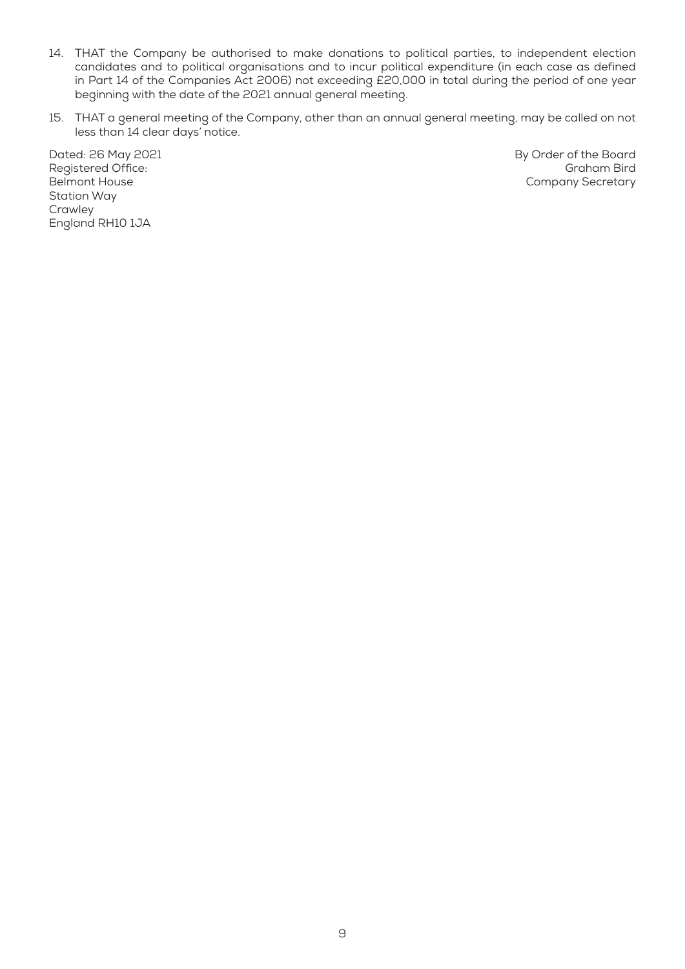- 14. THAT the Company be authorised to make donations to political parties, to independent election candidates and to political organisations and to incur political expenditure (in each case as defined in Part 14 of the Companies Act 2006) not exceeding £20,000 in total during the period of one year beginning with the date of the 2021 annual general meeting.
- 15. THAT a general meeting of the Company, other than an annual general meeting, may be called on not less than 14 clear days' notice.

Dated: 26 May 2021 Registered Office: Belmont House Station Way **Crawley** England RH10 1JA

By Order of the Board Graham Bird Company Secretary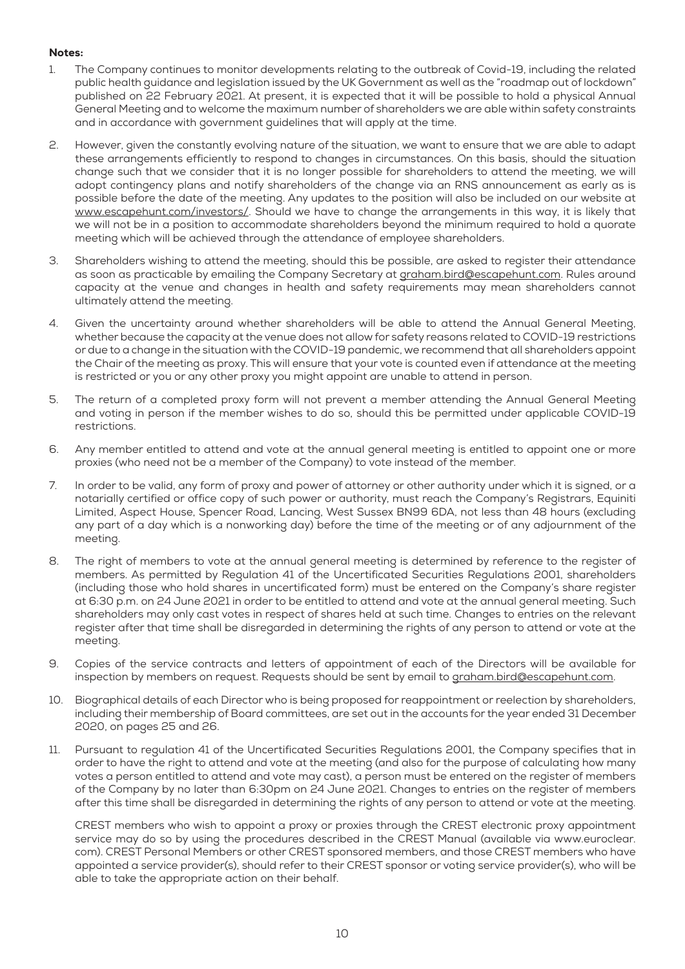#### Notes:

- 1. The Company continues to monitor developments relating to the outbreak of Covid-19, including the related public health guidance and legislation issued by the UK Government as well as the "roadmap out of lockdown" published on 22 February 2021. At present, it is expected that it will be possible to hold a physical Annual General Meeting and to welcome the maximum number of shareholders we are able within safety constraints and in accordance with government guidelines that will apply at the time.
- 2. However, given the constantly evolving nature of the situation, we want to ensure that we are able to adapt these arrangements efficiently to respond to changes in circumstances. On this basis, should the situation change such that we consider that it is no longer possible for shareholders to attend the meeting, we will adopt contingency plans and notify shareholders of the change via an RNS announcement as early as is possible before the date of the meeting. Any updates to the position will also be included on our website at [www.escapehunt.com/investors/](http://www.escapehunt.com/investors/). Should we have to change the arrangements in this way, it is likely that we will not be in a position to accommodate shareholders beyond the minimum required to hold a quorate meeting which will be achieved through the attendance of employee shareholders.
- 3. Shareholders wishing to attend the meeting, should this be possible, are asked to register their attendance as soon as practicable by emailing the Company Secretary at [graham.bird@escapehunt.com](mailto:graham.bird@escapehunt.com). Rules around capacity at the venue and changes in health and safety requirements may mean shareholders cannot ultimately attend the meeting.
- 4. Given the uncertainty around whether shareholders will be able to attend the Annual General Meeting, whether because the capacity at the venue does not allow for safety reasons related to COVID-19 restrictions or due to a change in the situation with the COVID-19 pandemic, we recommend that all shareholders appoint the Chair of the meeting as proxy. This will ensure that your vote is counted even if attendance at the meeting is restricted or you or any other proxy you might appoint are unable to attend in person.
- 5. The return of a completed proxy form will not prevent a member attending the Annual General Meeting and voting in person if the member wishes to do so, should this be permitted under applicable COVID-19 restrictions.
- 6. Any member entitled to attend and vote at the annual general meeting is entitled to appoint one or more proxies (who need not be a member of the Company) to vote instead of the member.
- 7. In order to be valid, any form of proxy and power of attorney or other authority under which it is signed, or a notarially certified or office copy of such power or authority, must reach the Company's Registrars, Equiniti Limited, Aspect House, Spencer Road, Lancing, West Sussex BN99 6DA, not less than 48 hours (excluding any part of a day which is a nonworking day) before the time of the meeting or of any adjournment of the meeting.
- 8. The right of members to vote at the annual general meeting is determined by reference to the register of members. As permitted by Regulation 41 of the Uncertificated Securities Regulations 2001, shareholders (including those who hold shares in uncertificated form) must be entered on the Company's share register at 6:30 p.m. on 24 June 2021 in order to be entitled to attend and vote at the annual general meeting. Such shareholders may only cast votes in respect of shares held at such time. Changes to entries on the relevant register after that time shall be disregarded in determining the rights of any person to attend or vote at the meeting.
- 9. Copies of the service contracts and letters of appointment of each of the Directors will be available for inspection by members on request. Requests should be sent by email to [graham.bird@escapehunt.com](mailto:graham.bird@escapehunt.com).
- 10. Biographical details of each Director who is being proposed for reappointment or reelection by shareholders, including their membership of Board committees, are set out in the accounts for the year ended 31 December 2020, on pages 25 and 26.
- 11. Pursuant to regulation 41 of the Uncertificated Securities Regulations 2001, the Company specifies that in order to have the right to attend and vote at the meeting (and also for the purpose of calculating how many votes a person entitled to attend and vote may cast), a person must be entered on the register of members of the Company by no later than 6:30pm on 24 June 2021. Changes to entries on the register of members after this time shall be disregarded in determining the rights of any person to attend or vote at the meeting.

CREST members who wish to appoint a proxy or proxies through the CREST electronic proxy appointment service may do so by using the procedures described in the CREST Manual (available via www.euroclear. com). CREST Personal Members or other CREST sponsored members, and those CREST members who have appointed a service provider(s), should refer to their CREST sponsor or voting service provider(s), who will be able to take the appropriate action on their behalf.